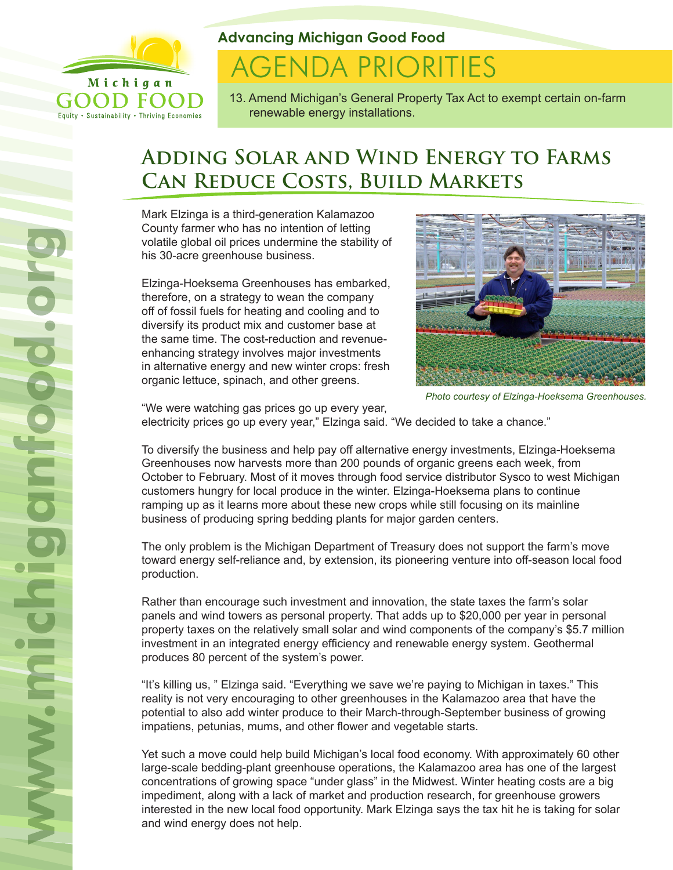

Equity . Sustainability . Thriving Economies

**Advancing Michigan Good Food**

# **AGENDA PRIORITIES**

13. Amend Michigan's General Property Tax Act to exempt certain on-farm renewable energy installations.

# **Adding Solar and Wind Energy to Farms Can Reduce Costs, Build Markets**

Mark Elzinga is a third-generation Kalamazoo County farmer who has no intention of letting volatile global oil prices undermine the stability of his 30-acre greenhouse business.

Elzinga-Hoeksema Greenhouses has embarked, therefore, on a strategy to wean the company off of fossil fuels for heating and cooling and to diversify its product mix and customer base at the same time. The cost-reduction and revenueenhancing strategy involves major investments in alternative energy and new winter crops: fresh organic lettuce, spinach, and other greens.



*Photo courtesy of Elzinga-Hoeksema Greenhouses.*

"We were watching gas prices go up every year,

electricity prices go up every year," Elzinga said. "We decided to take a chance."

To diversify the business and help pay off alternative energy investments, Elzinga-Hoeksema Greenhouses now harvests more than 200 pounds of organic greens each week, from October to February. Most of it moves through food service distributor Sysco to west Michigan customers hungry for local produce in the winter. Elzinga-Hoeksema plans to continue ramping up as it learns more about these new crops while still focusing on its mainline business of producing spring bedding plants for major garden centers.

The only problem is the Michigan Department of Treasury does not support the farm's move toward energy self-reliance and, by extension, its pioneering venture into off-season local food production.

Rather than encourage such investment and innovation, the state taxes the farm's solar panels and wind towers as personal property. That adds up to \$20,000 per year in personal property taxes on the relatively small solar and wind components of the company's \$5.7 million investment in an integrated energy efficiency and renewable energy system. Geothermal produces 80 percent of the system's power.

"It's killing us, " Elzinga said. "Everything we save we're paying to Michigan in taxes." This reality is not very encouraging to other greenhouses in the Kalamazoo area that have the potential to also add winter produce to their March-through-September business of growing impatiens, petunias, mums, and other flower and vegetable starts.

Yet such a move could help build Michigan's local food economy. With approximately 60 other large-scale bedding-plant greenhouse operations, the Kalamazoo area has one of the largest concentrations of growing space "under glass" in the Midwest. Winter heating costs are a big impediment, along with a lack of market and production research, for greenhouse growers interested in the new local food opportunity. Mark Elzinga says the tax hit he is taking for solar and wind energy does not help.